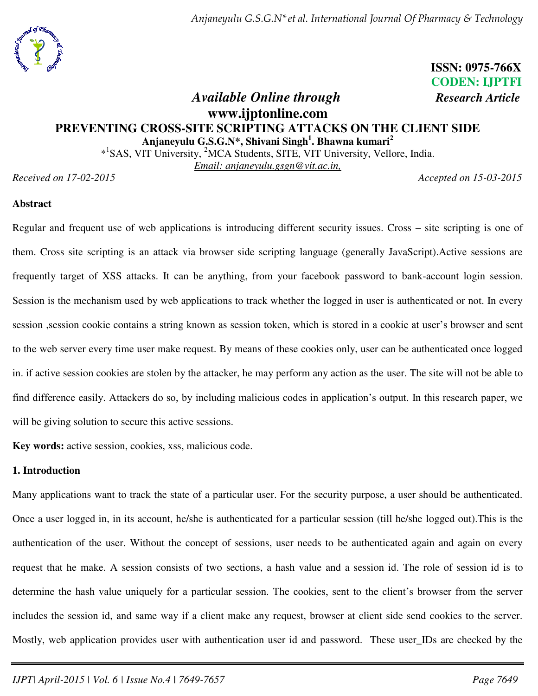

 **ISSN: 0975-766X CODEN: IJPTFI** 

# *<i>Available Online through Research Article* **www.ijptonline.com PREVENTING CROSS-SITE SCRIPTING ATTACKS ON THE CLIENT SIDE Anjaneyulu G.S.G.N\*, Shivani Singh<sup>1</sup> . Bhawna kumari<sup>2</sup>**

\*<sup>1</sup>SAS, VIT University, <sup>2</sup>MCA Students, SITE, VIT University, Vellore, India.

*Email: [anjaneyulu.gsgn@vit.ac.in,](mailto:anjaneyulu.gsgn@vit.ac.in)* 

*Received on 17-02-2015 Accepted on 15-03-2015* 

### **Abstract**

Regular and frequent use of web applications is introducing different security issues. Cross – site scripting is one of them. Cross site scripting is an attack via browser side scripting language (generally JavaScript).Active sessions are frequently target of XSS attacks. It can be anything, from your facebook password to bank-account login session. Session is the mechanism used by web applications to track whether the logged in user is authenticated or not. In every session ,session cookie contains a string known as session token, which is stored in a cookie at user's browser and sent to the web server every time user make request. By means of these cookies only, user can be authenticated once logged in. if active session cookies are stolen by the attacker, he may perform any action as the user. The site will not be able to find difference easily. Attackers do so, by including malicious codes in application's output. In this research paper, we will be giving solution to secure this active sessions.

**Key words:** active session, cookies, xss, malicious code.

### **1. Introduction**

Many applications want to track the state of a particular user. For the security purpose, a user should be authenticated. Once a user logged in, in its account, he/she is authenticated for a particular session (till he/she logged out).This is the authentication of the user. Without the concept of sessions, user needs to be authenticated again and again on every request that he make. A session consists of two sections, a hash value and a session id. The role of session id is to determine the hash value uniquely for a particular session. The cookies, sent to the client's browser from the server includes the session id, and same way if a client make any request, browser at client side send cookies to the server. Mostly, web application provides user with authentication user id and password. These user\_IDs are checked by the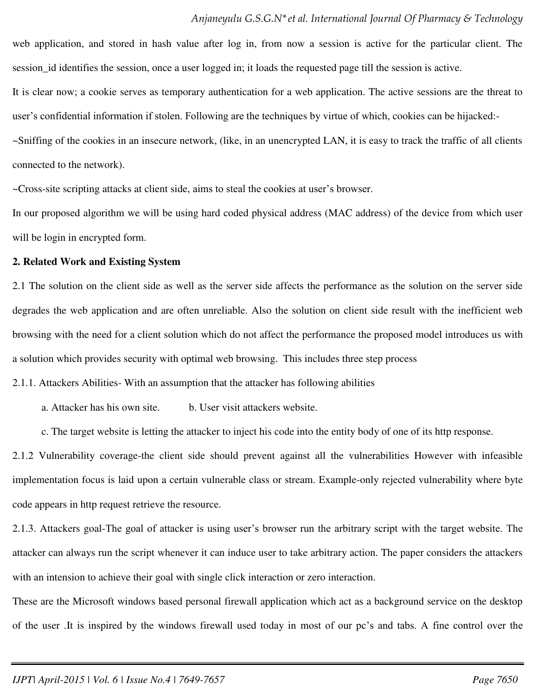web application, and stored in hash value after log in, from now a session is active for the particular client. The session\_id identifies the session, once a user logged in; it loads the requested page till the session is active.

It is clear now; a cookie serves as temporary authentication for a web application. The active sessions are the threat to user's confidential information if stolen. Following are the techniques by virtue of which, cookies can be hijacked:-

~Sniffing of the cookies in an insecure network, (like, in an unencrypted LAN, it is easy to track the traffic of all clients connected to the network).

~Cross-site scripting attacks at client side, aims to steal the cookies at user's browser.

In our proposed algorithm we will be using hard coded physical address (MAC address) of the device from which user will be login in encrypted form.

#### **2. Related Work and Existing System**

2.1 The solution on the client side as well as the server side affects the performance as the solution on the server side degrades the web application and are often unreliable. Also the solution on client side result with the inefficient web browsing with the need for a client solution which do not affect the performance the proposed model introduces us with a solution which provides security with optimal web browsing. This includes three step process

2.1.1. Attackers Abilities- With an assumption that the attacker has following abilities

a. Attacker has his own site. b. User visit attackers website.

c. The target website is letting the attacker to inject his code into the entity body of one of its http response.

2.1.2 Vulnerability coverage-the client side should prevent against all the vulnerabilities However with infeasible implementation focus is laid upon a certain vulnerable class or stream. Example-only rejected vulnerability where byte code appears in http request retrieve the resource.

2.1.3. Attackers goal-The goal of attacker is using user's browser run the arbitrary script with the target website. The attacker can always run the script whenever it can induce user to take arbitrary action. The paper considers the attackers with an intension to achieve their goal with single click interaction or zero interaction.

These are the Microsoft windows based personal firewall application which act as a background service on the desktop of the user .It is inspired by the windows firewall used today in most of our pc's and tabs. A fine control over the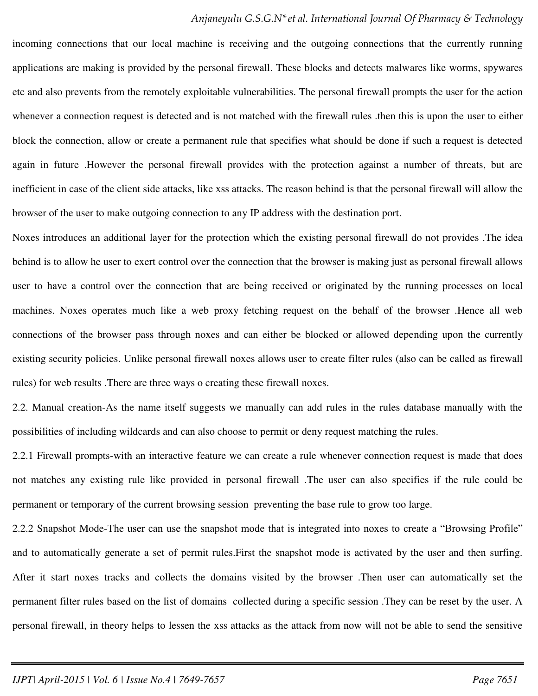incoming connections that our local machine is receiving and the outgoing connections that the currently running applications are making is provided by the personal firewall. These blocks and detects malwares like worms, spywares etc and also prevents from the remotely exploitable vulnerabilities. The personal firewall prompts the user for the action whenever a connection request is detected and is not matched with the firewall rules .then this is upon the user to either block the connection, allow or create a permanent rule that specifies what should be done if such a request is detected again in future .However the personal firewall provides with the protection against a number of threats, but are inefficient in case of the client side attacks, like xss attacks. The reason behind is that the personal firewall will allow the browser of the user to make outgoing connection to any IP address with the destination port.

Noxes introduces an additional layer for the protection which the existing personal firewall do not provides .The idea behind is to allow he user to exert control over the connection that the browser is making just as personal firewall allows user to have a control over the connection that are being received or originated by the running processes on local machines. Noxes operates much like a web proxy fetching request on the behalf of the browser .Hence all web connections of the browser pass through noxes and can either be blocked or allowed depending upon the currently existing security policies. Unlike personal firewall noxes allows user to create filter rules (also can be called as firewall rules) for web results .There are three ways o creating these firewall noxes.

2.2. Manual creation-As the name itself suggests we manually can add rules in the rules database manually with the possibilities of including wildcards and can also choose to permit or deny request matching the rules.

2.2.1 Firewall prompts-with an interactive feature we can create a rule whenever connection request is made that does not matches any existing rule like provided in personal firewall .The user can also specifies if the rule could be permanent or temporary of the current browsing session preventing the base rule to grow too large.

2.2.2 Snapshot Mode-The user can use the snapshot mode that is integrated into noxes to create a "Browsing Profile" and to automatically generate a set of permit rules.First the snapshot mode is activated by the user and then surfing. After it start noxes tracks and collects the domains visited by the browser. Then user can automatically set the permanent filter rules based on the list of domains collected during a specific session .They can be reset by the user. A personal firewall, in theory helps to lessen the xss attacks as the attack from now will not be able to send the sensitive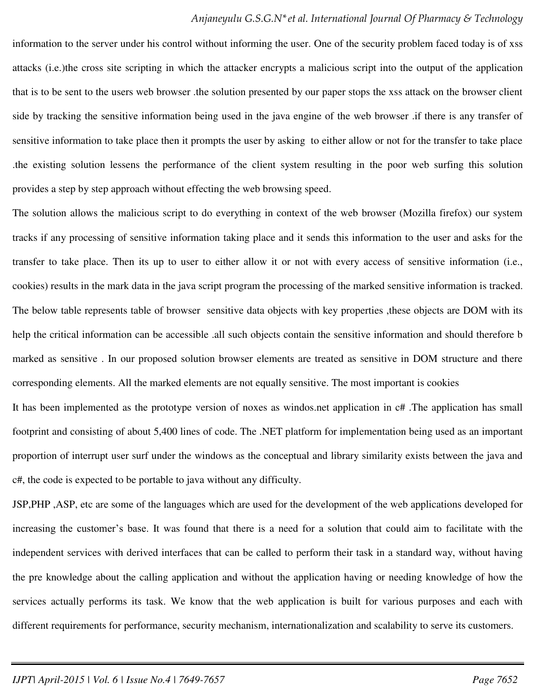information to the server under his control without informing the user. One of the security problem faced today is of xss attacks (i.e.)the cross site scripting in which the attacker encrypts a malicious script into the output of the application that is to be sent to the users web browser .the solution presented by our paper stops the xss attack on the browser client side by tracking the sensitive information being used in the java engine of the web browser .if there is any transfer of sensitive information to take place then it prompts the user by asking to either allow or not for the transfer to take place .the existing solution lessens the performance of the client system resulting in the poor web surfing this solution provides a step by step approach without effecting the web browsing speed.

The solution allows the malicious script to do everything in context of the web browser (Mozilla firefox) our system tracks if any processing of sensitive information taking place and it sends this information to the user and asks for the transfer to take place. Then its up to user to either allow it or not with every access of sensitive information (i.e., cookies) results in the mark data in the java script program the processing of the marked sensitive information is tracked. The below table represents table of browser sensitive data objects with key properties ,these objects are DOM with its help the critical information can be accessible .all such objects contain the sensitive information and should therefore b marked as sensitive . In our proposed solution browser elements are treated as sensitive in DOM structure and there corresponding elements. All the marked elements are not equally sensitive. The most important is cookies

It has been implemented as the prototype version of noxes as windos.net application in c# .The application has small footprint and consisting of about 5,400 lines of code. The .NET platform for implementation being used as an important proportion of interrupt user surf under the windows as the conceptual and library similarity exists between the java and c#, the code is expected to be portable to java without any difficulty.

JSP,PHP ,ASP, etc are some of the languages which are used for the development of the web applications developed for increasing the customer's base. It was found that there is a need for a solution that could aim to facilitate with the independent services with derived interfaces that can be called to perform their task in a standard way, without having the pre knowledge about the calling application and without the application having or needing knowledge of how the services actually performs its task. We know that the web application is built for various purposes and each with different requirements for performance, security mechanism, internationalization and scalability to serve its customers.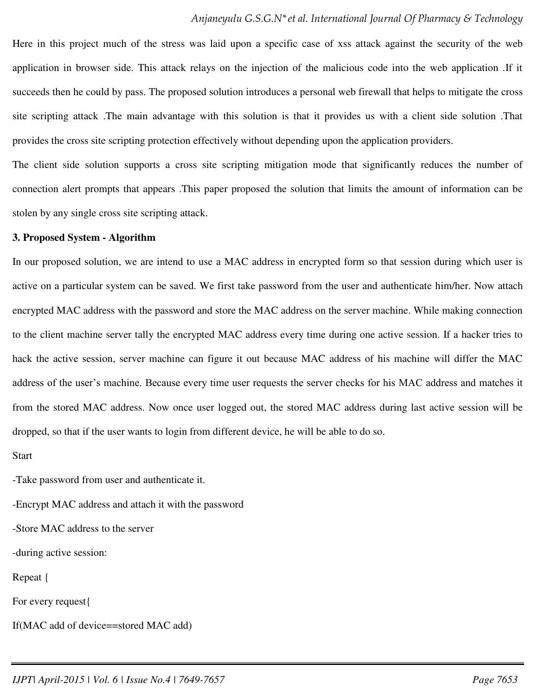Here in this project much of the stress was laid upon a specific case of xss attack against the security of the web application in browser side. This attack relays on the injection of the malicious code into the web application .If it succeeds then he could by pass. The proposed solution introduces a personal web firewall that helps to mitigate the cross site scripting attack .The main advantage with this solution is that it provides us with a client side solution .That provides the cross site scripting protection effectively without depending upon the application providers.

The client side solution supports a cross site scripting mitigation mode that significantly reduces the number of connection alert prompts that appears .This paper proposed the solution that limits the amount of information can be stolen by any single cross site scripting attack.

#### **3. Proposed System - Algorithm**

In our proposed solution, we are intend to use a MAC address in encrypted form so that session during which user is active on a particular system can be saved. We first take password from the user and authenticate him/her. Now attach encrypted MAC address with the password and store the MAC address on the server machine. While making connection to the client machine server tally the encrypted MAC address every time during one active session. If a hacker tries to hack the active session, server machine can figure it out because MAC address of his machine will differ the MAC address of the user's machine. Because every time user requests the server checks for his MAC address and matches it from the stored MAC address. Now once user logged out, the stored MAC address during last active session will be dropped, so that if the user wants to login from different device, he will be able to do so.

Start

-Take password from user and authenticate it.

-Encrypt MAC address and attach it with the password

-Store MAC address to the server

-during active session:

Repeat {

For every request{

If(MAC add of device==stored MAC add)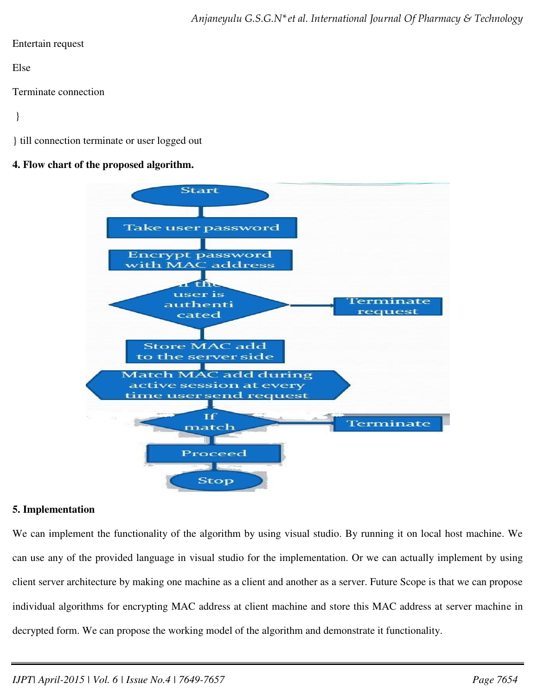### Entertain request

Else

Terminate connection

}

} till connection terminate or user logged out

# **4. Flow chart of the proposed algorithm.**



# **5. Implementation**

We can implement the functionality of the algorithm by using visual studio. By running it on local host machine. We can use any of the provided language in visual studio for the implementation. Or we can actually implement by using client server architecture by making one machine as a client and another as a server. Future Scope is that we can propose individual algorithms for encrypting MAC address at client machine and store this MAC address at server machine in decrypted form. We can propose the working model of the algorithm and demonstrate it functionality.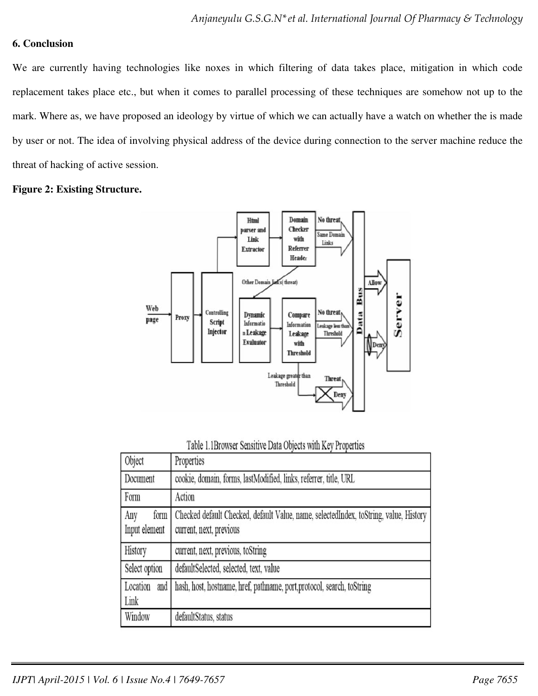# **6. Conclusion**

We are currently having technologies like noxes in which filtering of data takes place, mitigation in which code replacement takes place etc., but when it comes to parallel processing of these techniques are somehow not up to the mark. Where as, we have proposed an ideology by virtue of which we can actually have a watch on whether the is made by user or not. The idea of involving physical address of the device during connection to the server machine reduce the threat of hacking of active session.

### **Figure 2: Existing Structure.**



| Table 1.1Browser Sensitive Data Objects with Key Properties |  |
|-------------------------------------------------------------|--|
|-------------------------------------------------------------|--|

| Object                       | Properties                                                                                                       |
|------------------------------|------------------------------------------------------------------------------------------------------------------|
| Document                     | cookie, domain, forms, lastModified, links, referrer, title, URL                                                 |
| Form                         | Action                                                                                                           |
| Any<br>form<br>Input element | Checked default Checked, default Value, name, selectedIndex, toString, value, History<br>current, next, previous |
| History                      | current, next, previous, toString                                                                                |
| Select option                | defaultSelected, selected, text, value                                                                           |
| Location<br>and<br>Link      | hash, host, hostname, href, pathname, port, protocol, search, toString                                           |
| Window                       | defaultStatus, status                                                                                            |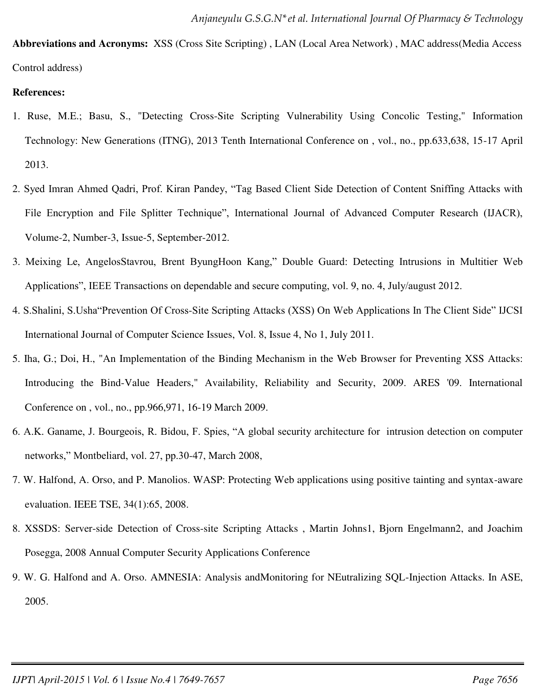**Abbreviations and Acronyms:** XSS (Cross Site Scripting) , LAN (Local Area Network) , MAC address(Media Access Control address)

### **References:**

- 1. Ruse, M.E.; Basu, S., "Detecting Cross-Site Scripting Vulnerability Using Concolic Testing," Information Technology: New Generations (ITNG), 2013 Tenth International Conference on , vol., no., pp.633,638, 15-17 April 2013.
- 2. Syed Imran Ahmed Qadri, Prof. Kiran Pandey, "Tag Based Client Side Detection of Content Sniffing Attacks with File Encryption and File Splitter Technique", International Journal of Advanced Computer Research (IJACR), Volume-2, Number-3, Issue-5, September-2012.
- 3. Meixing Le, AngelosStavrou, Brent ByungHoon Kang," Double Guard: Detecting Intrusions in Multitier Web Applications", IEEE Transactions on dependable and secure computing, vol. 9, no. 4, July/august 2012.
- 4. S.Shalini, S.Usha"Prevention Of Cross-Site Scripting Attacks (XSS) On Web Applications In The Client Side" IJCSI International Journal of Computer Science Issues, Vol. 8, Issue 4, No 1, July 2011.
- 5. Iha, G.; Doi, H., "An Implementation of the Binding Mechanism in the Web Browser for Preventing XSS Attacks: Introducing the Bind-Value Headers," Availability, Reliability and Security, 2009. ARES '09. International Conference on , vol., no., pp.966,971, 16-19 March 2009.
- 6. A.K. Ganame, J. Bourgeois, R. Bidou, F. Spies, "A global security architecture for intrusion detection on computer networks," Montbeliard, vol. 27, pp.30-47, March 2008,
- 7. W. Halfond, A. Orso, and P. Manolios. WASP: Protecting Web applications using positive tainting and syntax-aware evaluation. IEEE TSE, 34(1):65, 2008.
- 8. XSSDS: Server-side Detection of Cross-site Scripting Attacks , Martin Johns1, Bjorn Engelmann2, and Joachim Posegga, 2008 Annual Computer Security Applications Conference
- 9. W. G. Halfond and A. Orso. AMNESIA: Analysis andMonitoring for NEutralizing SQL-Injection Attacks. In ASE, 2005.